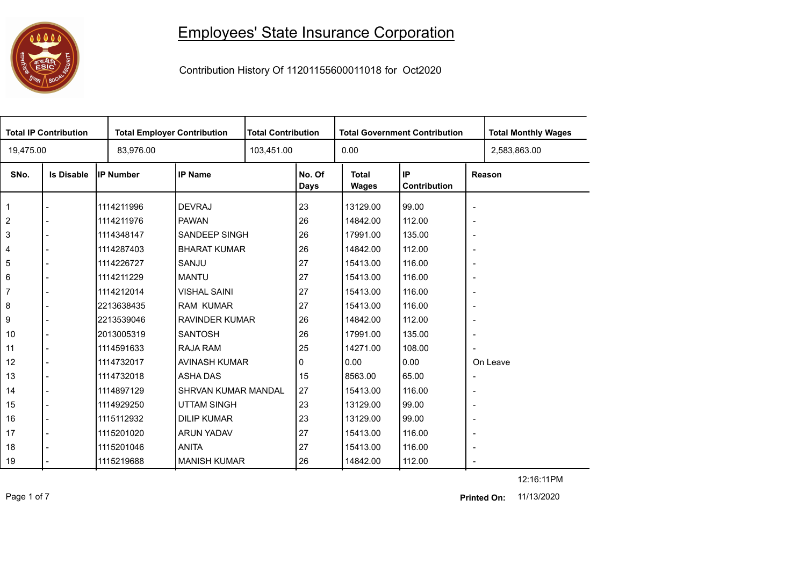## 

## Employees' State Insurance Corporation

Contribution History Of 11201155600011018 for Oct2020

| <b>Total IP Contribution</b> |                   |                  | <b>Total Employer Contribution</b> |  | <b>Total Contribution</b><br><b>Total Government Contribution</b> |                              |                    |                          | <b>Total Monthly Wages</b> |
|------------------------------|-------------------|------------------|------------------------------------|--|-------------------------------------------------------------------|------------------------------|--------------------|--------------------------|----------------------------|
| 19,475.00                    |                   | 83,976.00        |                                    |  |                                                                   | 0.00                         |                    |                          | 2,583,863.00               |
| SNo.                         | <b>Is Disable</b> | <b>IP Number</b> | <b>IP Name</b>                     |  | No. Of<br>Days                                                    | <b>Total</b><br><b>Wages</b> | IP<br>Contribution |                          | Reason                     |
| $\mathbf{1}$                 |                   | 1114211996       | <b>DEVRAJ</b>                      |  | 23                                                                | 13129.00                     | 99.00              | $\blacksquare$           |                            |
| $\overline{2}$               |                   | 1114211976       | <b>PAWAN</b>                       |  | 26                                                                | 14842.00                     | 112.00             | $\overline{\phantom{a}}$ |                            |
| 3                            |                   | 1114348147       | <b>SANDEEP SINGH</b>               |  | 26                                                                | 17991.00                     | 135.00             | $\overline{\phantom{a}}$ |                            |
| $\overline{4}$               |                   | 1114287403       | <b>BHARAT KUMAR</b>                |  | 26                                                                | 14842.00                     | 112.00             | $\overline{\phantom{a}}$ |                            |
| 5                            |                   | 1114226727       | SANJU                              |  | 27                                                                | 15413.00                     | 116.00             | $\overline{\phantom{a}}$ |                            |
| 6                            |                   | 1114211229       | <b>MANTU</b>                       |  | 27                                                                | 15413.00                     | 116.00             | $\overline{\phantom{a}}$ |                            |
| $\overline{7}$               |                   | 1114212014       | <b>VISHAL SAINI</b>                |  | 27                                                                | 15413.00                     | 116.00             | $\overline{\phantom{a}}$ |                            |
| 8                            |                   | 2213638435       | <b>RAM KUMAR</b>                   |  | 27                                                                | 15413.00                     | 116.00             | $\overline{\phantom{a}}$ |                            |
| 9                            |                   | 2213539046       | <b>RAVINDER KUMAR</b>              |  | 26                                                                | 14842.00                     | 112.00             | $\blacksquare$           |                            |
| 10                           |                   | 2013005319       | <b>SANTOSH</b>                     |  | 26                                                                | 17991.00                     | 135.00             | $\overline{\phantom{a}}$ |                            |
| 11                           |                   | 1114591633       | RAJA RAM                           |  | 25                                                                | 14271.00                     | 108.00             | $\overline{\phantom{a}}$ |                            |
| 12                           |                   | 1114732017       | AVINASH KUMAR                      |  | 0                                                                 | 0.00                         | 0.00               |                          | On Leave                   |
| 13                           |                   | 1114732018       | <b>ASHA DAS</b>                    |  | 15                                                                | 8563.00                      | 65.00              | $\overline{\phantom{a}}$ |                            |
| 14                           |                   | 1114897129       | <b>SHRVAN KUMAR MANDAL</b>         |  | 27                                                                | 15413.00                     | 116.00             | $\overline{\phantom{a}}$ |                            |
| 15                           |                   | 1114929250       | <b>UTTAM SINGH</b>                 |  | 23                                                                | 13129.00                     | 99.00              | $\overline{\phantom{a}}$ |                            |
| 16                           |                   | 1115112932       | <b>DILIP KUMAR</b>                 |  | 23                                                                | 13129.00                     | 99.00              | $\overline{\phantom{a}}$ |                            |
| 17                           |                   | 1115201020       | <b>ARUN YADAV</b>                  |  | 27                                                                | 15413.00                     | 116.00             | $\overline{\phantom{a}}$ |                            |
| 18                           |                   | 1115201046       | <b>ANITA</b>                       |  | 27                                                                | 15413.00                     | 116.00             | $\overline{\phantom{a}}$ |                            |
| 19                           |                   | 1115219688       | <b>MANISH KUMAR</b>                |  | 26                                                                | 14842.00                     | 112.00             | $\blacksquare$           |                            |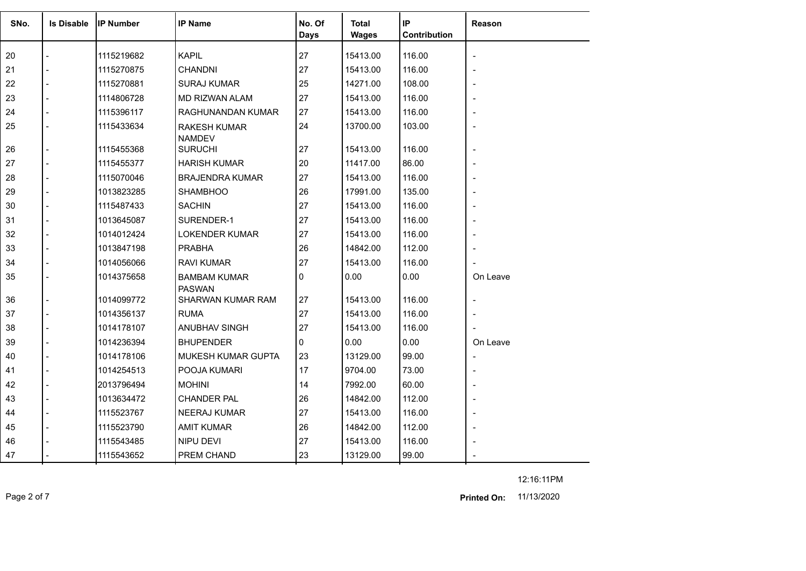| SNo. | <b>Is Disable</b> | <b>IP Number</b> | <b>IP Name</b>                       | No. Of<br><b>Days</b> | Total<br><b>Wages</b> | IP<br>Contribution | Reason                   |
|------|-------------------|------------------|--------------------------------------|-----------------------|-----------------------|--------------------|--------------------------|
| 20   |                   | 1115219682       | <b>KAPIL</b>                         | 27                    | 15413.00              | 116.00             |                          |
| 21   | $\overline{a}$    | 1115270875       | <b>CHANDNI</b>                       | 27                    | 15413.00              | 116.00             | $\blacksquare$           |
| 22   | $\overline{a}$    | 1115270881       | <b>SURAJ KUMAR</b>                   | 25                    | 14271.00              | 108.00             |                          |
| 23   | $\overline{a}$    | 1114806728       | <b>MD RIZWAN ALAM</b>                | 27                    | 15413.00              | 116.00             |                          |
| 24   | $\overline{a}$    | 1115396117       | RAGHUNANDAN KUMAR                    | 27                    | 15413.00              | 116.00             |                          |
| 25   | $\overline{a}$    | 1115433634       | <b>RAKESH KUMAR</b><br><b>NAMDEV</b> | 24                    | 13700.00              | 103.00             |                          |
| 26   | $\overline{a}$    | 1115455368       | <b>SURUCHI</b>                       | 27                    | 15413.00              | 116.00             | $\overline{a}$           |
| 27   | $\overline{a}$    | 1115455377       | <b>HARISH KUMAR</b>                  | 20                    | 11417.00              | 86.00              |                          |
| 28   |                   | 1115070046       | <b>BRAJENDRA KUMAR</b>               | 27                    | 15413.00              | 116.00             |                          |
| 29   | $\overline{a}$    | 1013823285       | <b>SHAMBHOO</b>                      | 26                    | 17991.00              | 135.00             |                          |
| 30   | $\overline{a}$    | 1115487433       | <b>SACHIN</b>                        | 27                    | 15413.00              | 116.00             | $\overline{\phantom{0}}$ |
| 31   |                   | 1013645087       | SURENDER-1                           | 27                    | 15413.00              | 116.00             |                          |
| 32   | $\overline{a}$    | 1014012424       | <b>LOKENDER KUMAR</b>                | 27                    | 15413.00              | 116.00             |                          |
| 33   | $\overline{a}$    | 1013847198       | <b>PRABHA</b>                        | 26                    | 14842.00              | 112.00             | $\blacksquare$           |
| 34   |                   | 1014056066       | <b>RAVI KUMAR</b>                    | 27                    | 15413.00              | 116.00             |                          |
| 35   | $\overline{a}$    | 1014375658       | <b>BAMBAM KUMAR</b><br><b>PASWAN</b> | 0                     | 0.00                  | 0.00               | On Leave                 |
| 36   |                   | 1014099772       | SHARWAN KUMAR RAM                    | 27                    | 15413.00              | 116.00             |                          |
| 37   | $\overline{a}$    | 1014356137       | <b>RUMA</b>                          | 27                    | 15413.00              | 116.00             |                          |
| 38   |                   | 1014178107       | ANUBHAV SINGH                        | 27                    | 15413.00              | 116.00             |                          |
| 39   |                   | 1014236394       | <b>BHUPENDER</b>                     | 0                     | 0.00                  | 0.00               | On Leave                 |
| 40   | $\overline{a}$    | 1014178106       | MUKESH KUMAR GUPTA                   | 23                    | 13129.00              | 99.00              |                          |
| 41   |                   | 1014254513       | POOJA KUMARI                         | 17                    | 9704.00               | 73.00              |                          |
| 42   |                   | 2013796494       | <b>MOHINI</b>                        | 14                    | 7992.00               | 60.00              |                          |
| 43   | $\overline{a}$    | 1013634472       | <b>CHANDER PAL</b>                   | 26                    | 14842.00              | 112.00             |                          |
| 44   |                   | 1115523767       | <b>NEERAJ KUMAR</b>                  | 27                    | 15413.00              | 116.00             |                          |
| 45   |                   | 1115523790       | <b>AMIT KUMAR</b>                    | 26                    | 14842.00              | 112.00             |                          |
| 46   |                   | 1115543485       | NIPU DEVI                            | 27                    | 15413.00              | 116.00             |                          |
| 47   |                   | 1115543652       | PREM CHAND                           | 23                    | 13129.00              | 99.00              |                          |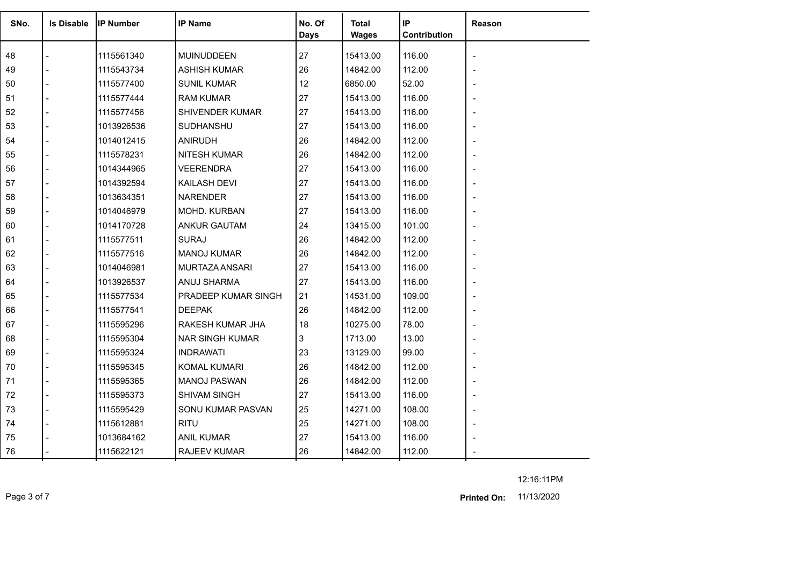| SNo. | <b>Is Disable</b> | <b>IP Number</b> | <b>IP Name</b>         | No. Of<br>Days | <b>Total</b><br><b>Wages</b> | IP<br>Contribution | Reason |
|------|-------------------|------------------|------------------------|----------------|------------------------------|--------------------|--------|
| 48   |                   | 1115561340       | MUINUDDEEN             | 27             | 15413.00                     | 116.00             |        |
| 49   |                   | 1115543734       | <b>ASHISH KUMAR</b>    | 26             | 14842.00                     | 112.00             |        |
| 50   |                   | 1115577400       | <b>SUNIL KUMAR</b>     | 12             | 6850.00                      | 52.00              |        |
| 51   |                   | 1115577444       | <b>RAM KUMAR</b>       | 27             | 15413.00                     | 116.00             |        |
| 52   |                   | 1115577456       | SHIVENDER KUMAR        | 27             | 15413.00                     | 116.00             |        |
| 53   |                   | 1013926536       | <b>SUDHANSHU</b>       | 27             | 15413.00                     | 116.00             |        |
| 54   |                   | 1014012415       | <b>ANIRUDH</b>         | 26             | 14842.00                     | 112.00             |        |
| 55   |                   | 1115578231       | <b>NITESH KUMAR</b>    | 26             | 14842.00                     | 112.00             |        |
| 56   |                   | 1014344965       | <b>VEERENDRA</b>       | 27             | 15413.00                     | 116.00             |        |
| 57   |                   | 1014392594       | KAILASH DEVI           | 27             | 15413.00                     | 116.00             |        |
| 58   |                   | 1013634351       | <b>NARENDER</b>        | 27             | 15413.00                     | 116.00             |        |
| 59   |                   | 1014046979       | MOHD. KURBAN           | 27             | 15413.00                     | 116.00             |        |
| 60   |                   | 1014170728       | <b>ANKUR GAUTAM</b>    | 24             | 13415.00                     | 101.00             |        |
| 61   |                   | 1115577511       | <b>SURAJ</b>           | 26             | 14842.00                     | 112.00             |        |
| 62   |                   | 1115577516       | <b>MANOJ KUMAR</b>     | 26             | 14842.00                     | 112.00             |        |
| 63   |                   | 1014046981       | MURTAZA ANSARI         | 27             | 15413.00                     | 116.00             |        |
| 64   |                   | 1013926537       | ANUJ SHARMA            | 27             | 15413.00                     | 116.00             |        |
| 65   |                   | 1115577534       | PRADEEP KUMAR SINGH    | 21             | 14531.00                     | 109.00             |        |
| 66   |                   | 1115577541       | <b>DEEPAK</b>          | 26             | 14842.00                     | 112.00             |        |
| 67   |                   | 1115595296       | RAKESH KUMAR JHA       | 18             | 10275.00                     | 78.00              |        |
| 68   |                   | 1115595304       | <b>NAR SINGH KUMAR</b> | 3              | 1713.00                      | 13.00              |        |
| 69   |                   | 1115595324       | <b>INDRAWATI</b>       | 23             | 13129.00                     | 99.00              |        |
| 70   |                   | 1115595345       | <b>KOMAL KUMARI</b>    | 26             | 14842.00                     | 112.00             |        |
| 71   |                   | 1115595365       | <b>MANOJ PASWAN</b>    | 26             | 14842.00                     | 112.00             |        |
| 72   |                   | 1115595373       | SHIVAM SINGH           | 27             | 15413.00                     | 116.00             |        |
| 73   |                   | 1115595429       | SONU KUMAR PASVAN      | 25             | 14271.00                     | 108.00             |        |
| 74   |                   | 1115612881       | <b>RITU</b>            | 25             | 14271.00                     | 108.00             |        |
| 75   |                   | 1013684162       | <b>ANIL KUMAR</b>      | 27             | 15413.00                     | 116.00             |        |
| 76   |                   | 1115622121       | <b>RAJEEV KUMAR</b>    | 26             | 14842.00                     | 112.00             |        |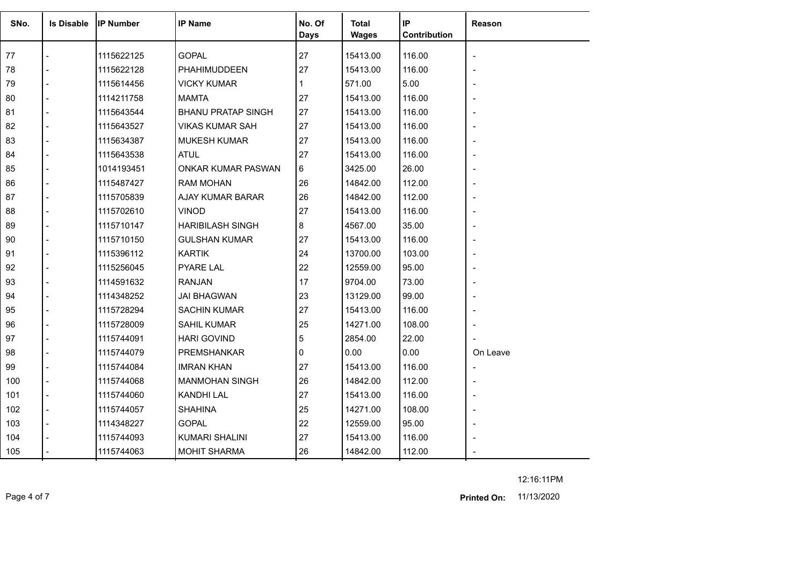| SNo. | <b>Is Disable</b> | <b>IP Number</b> | <b>IP Name</b>            | No. Of<br><b>Days</b> | Total<br><b>Wages</b> | IP<br>Contribution | Reason                       |
|------|-------------------|------------------|---------------------------|-----------------------|-----------------------|--------------------|------------------------------|
| 77   |                   | 1115622125       | <b>GOPAL</b>              | 27                    | 15413.00              | 116.00             |                              |
| 78   |                   | 1115622128       | PHAHIMUDDEEN              | 27                    | 15413.00              | 116.00             |                              |
| 79   |                   | 1115614456       | <b>VICKY KUMAR</b>        | 1                     | 571.00                | 5.00               |                              |
| 80   |                   | 1114211758       | <b>MAMTA</b>              | 27                    | 15413.00              | 116.00             |                              |
| 81   | $\overline{a}$    | 1115643544       | <b>BHANU PRATAP SINGH</b> | 27                    | 15413.00              | 116.00             |                              |
| 82   |                   | 1115643527       | <b>VIKAS KUMAR SAH</b>    | 27                    | 15413.00              | 116.00             |                              |
| 83   |                   | 1115634387       | <b>MUKESH KUMAR</b>       | 27                    | 15413.00              | 116.00             |                              |
| 84   | $\overline{a}$    | 1115643538       | <b>ATUL</b>               | 27                    | 15413.00              | 116.00             |                              |
| 85   | $\overline{a}$    | 1014193451       | <b>ONKAR KUMAR PASWAN</b> | 6                     | 3425.00               | 26.00              |                              |
| 86   |                   | 1115487427       | <b>RAM MOHAN</b>          | 26                    | 14842.00              | 112.00             |                              |
| 87   |                   | 1115705839       | AJAY KUMAR BARAR          | 26                    | 14842.00              | 112.00             |                              |
| 88   |                   | 1115702610       | <b>VINOD</b>              | 27                    | 15413.00              | 116.00             |                              |
| 89   |                   | 1115710147       | <b>HARIBILASH SINGH</b>   | 8                     | 4567.00               | 35.00              |                              |
| 90   |                   | 1115710150       | <b>GULSHAN KUMAR</b>      | 27                    | 15413.00              | 116.00             |                              |
| 91   |                   | 1115396112       | <b>KARTIK</b>             | 24                    | 13700.00              | 103.00             |                              |
| 92   |                   | 1115256045       | <b>PYARE LAL</b>          | 22                    | 12559.00              | 95.00              |                              |
| 93   |                   | 1114591632       | <b>RANJAN</b>             | 17                    | 9704.00               | 73.00              |                              |
| 94   |                   | 1114348252       | <b>JAI BHAGWAN</b>        | 23                    | 13129.00              | 99.00              |                              |
| 95   |                   | 1115728294       | <b>SACHIN KUMAR</b>       | 27                    | 15413.00              | 116.00             |                              |
| 96   |                   | 1115728009       | <b>SAHIL KUMAR</b>        | 25                    | 14271.00              | 108.00             |                              |
| 97   |                   | 1115744091       | <b>HARI GOVIND</b>        | 5                     | 2854.00               | 22.00              |                              |
| 98   |                   | 1115744079       | <b>PREMSHANKAR</b>        | 0                     | 0.00                  | 0.00               | On Leave                     |
| 99   |                   | 1115744084       | <b>IMRAN KHAN</b>         | 27                    | 15413.00              | 116.00             |                              |
| 100  |                   | 1115744068       | <b>MANMOHAN SINGH</b>     | 26                    | 14842.00              | 112.00             |                              |
| 101  | $\overline{a}$    | 1115744060       | KANDHI LAL                | 27                    | 15413.00              | 116.00             |                              |
| 102  | $\blacksquare$    | 1115744057       | <b>SHAHINA</b>            | 25                    | 14271.00              | 108.00             | $\qquad \qquad \blacksquare$ |
| 103  |                   | 1114348227       | <b>GOPAL</b>              | 22                    | 12559.00              | 95.00              |                              |
| 104  |                   | 1115744093       | <b>KUMARI SHALINI</b>     | 27                    | 15413.00              | 116.00             |                              |
| 105  |                   | 1115744063       | <b>MOHIT SHARMA</b>       | 26                    | 14842.00              | 112.00             |                              |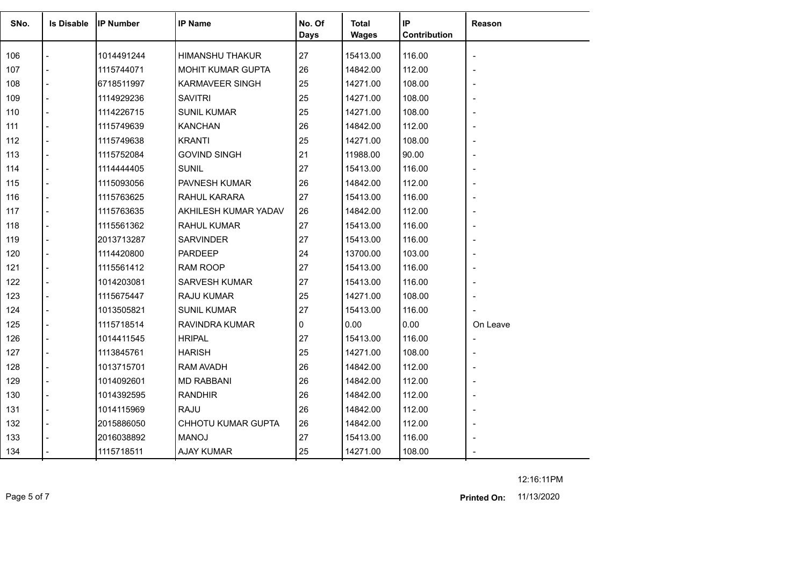| SNo. | <b>Is Disable</b> | <b>IP Number</b> | <b>IP Name</b>            | No. Of<br><b>Days</b> | <b>Total</b><br><b>Wages</b> | IP<br>Contribution | Reason         |
|------|-------------------|------------------|---------------------------|-----------------------|------------------------------|--------------------|----------------|
| 106  |                   | 1014491244       | <b>HIMANSHU THAKUR</b>    | 27                    | 15413.00                     | 116.00             |                |
| 107  |                   | 1115744071       | MOHIT KUMAR GUPTA         | 26                    | 14842.00                     | 112.00             |                |
| 108  |                   | 6718511997       | <b>KARMAVEER SINGH</b>    | 25                    | 14271.00                     | 108.00             |                |
| 109  |                   | 1114929236       | <b>SAVITRI</b>            | 25                    | 14271.00                     | 108.00             |                |
| 110  | $\overline{a}$    | 1114226715       | <b>SUNIL KUMAR</b>        | 25                    | 14271.00                     | 108.00             |                |
| 111  | $\overline{a}$    | 1115749639       | <b>KANCHAN</b>            | 26                    | 14842.00                     | 112.00             |                |
| 112  |                   | 1115749638       | <b>KRANTI</b>             | 25                    | 14271.00                     | 108.00             |                |
| 113  | $\overline{a}$    | 1115752084       | <b>GOVIND SINGH</b>       | 21                    | 11988.00                     | 90.00              |                |
| 114  | $\overline{a}$    | 1114444405       | <b>SUNIL</b>              | 27                    | 15413.00                     | 116.00             |                |
| 115  |                   | 1115093056       | PAVNESH KUMAR             | 26                    | 14842.00                     | 112.00             |                |
| 116  | $\overline{a}$    | 1115763625       | RAHUL KARARA              | 27                    | 15413.00                     | 116.00             |                |
| 117  | $\overline{a}$    | 1115763635       | AKHILESH KUMAR YADAV      | 26                    | 14842.00                     | 112.00             |                |
| 118  |                   | 1115561362       | <b>RAHUL KUMAR</b>        | 27                    | 15413.00                     | 116.00             |                |
| 119  | $\overline{a}$    | 2013713287       | <b>SARVINDER</b>          | 27                    | 15413.00                     | 116.00             |                |
| 120  | $\overline{a}$    | 1114420800       | PARDEEP                   | 24                    | 13700.00                     | 103.00             |                |
| 121  |                   | 1115561412       | <b>RAM ROOP</b>           | 27                    | 15413.00                     | 116.00             |                |
| 122  |                   | 1014203081       | <b>SARVESH KUMAR</b>      | 27                    | 15413.00                     | 116.00             |                |
| 123  |                   | 1115675447       | RAJU KUMAR                | 25                    | 14271.00                     | 108.00             |                |
| 124  | $\blacksquare$    | 1013505821       | <b>SUNIL KUMAR</b>        | 27                    | 15413.00                     | 116.00             |                |
| 125  |                   | 1115718514       | RAVINDRA KUMAR            | 0                     | 0.00                         | 0.00               | On Leave       |
| 126  | $\overline{a}$    | 1014411545       | <b>HRIPAL</b>             | 27                    | 15413.00                     | 116.00             | $\blacksquare$ |
| 127  |                   | 1113845761       | <b>HARISH</b>             | 25                    | 14271.00                     | 108.00             |                |
| 128  |                   | 1013715701       | RAM AVADH                 | 26                    | 14842.00                     | 112.00             |                |
| 129  |                   | 1014092601       | <b>MD RABBANI</b>         | 26                    | 14842.00                     | 112.00             |                |
| 130  | $\blacksquare$    | 1014392595       | <b>RANDHIR</b>            | 26                    | 14842.00                     | 112.00             |                |
| 131  | $\overline{a}$    | 1014115969       | <b>RAJU</b>               | 26                    | 14842.00                     | 112.00             |                |
| 132  |                   | 2015886050       | <b>CHHOTU KUMAR GUPTA</b> | 26                    | 14842.00                     | 112.00             |                |
| 133  |                   | 2016038892       | <b>MANOJ</b>              | 27                    | 15413.00                     | 116.00             |                |
| 134  |                   | 1115718511       | <b>AJAY KUMAR</b>         | 25                    | 14271.00                     | 108.00             |                |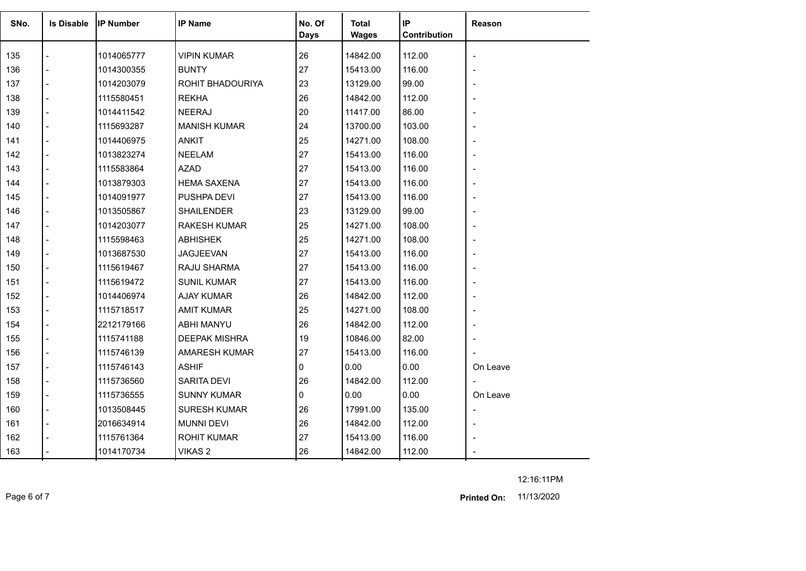| SNo. | <b>Is Disable</b>        | <b>IP Number</b> | <b>IP Name</b>       | No. Of<br><b>Days</b> | Total<br><b>Wages</b> | IP<br>Contribution | Reason         |
|------|--------------------------|------------------|----------------------|-----------------------|-----------------------|--------------------|----------------|
| 135  |                          | 1014065777       | <b>VIPIN KUMAR</b>   | 26                    | 14842.00              | 112.00             |                |
| 136  | $\overline{a}$           | 1014300355       | <b>BUNTY</b>         | 27                    | 15413.00              | 116.00             |                |
| 137  | $\blacksquare$           | 1014203079       | ROHIT BHADOURIYA     | 23                    | 13129.00              | 99.00              |                |
| 138  | $\overline{a}$           | 1115580451       | <b>REKHA</b>         | 26                    | 14842.00              | 112.00             |                |
| 139  | $\overline{a}$           | 1014411542       | <b>NEERAJ</b>        | 20                    | 11417.00              | 86.00              |                |
| 140  | $\blacksquare$           | 1115693287       | <b>MANISH KUMAR</b>  | 24                    | 13700.00              | 103.00             |                |
| 141  |                          | 1014406975       | <b>ANKIT</b>         | 25                    | 14271.00              | 108.00             |                |
| 142  | $\overline{a}$           | 1013823274       | <b>NEELAM</b>        | 27                    | 15413.00              | 116.00             |                |
| 143  | $\overline{a}$           | 1115583864       | <b>AZAD</b>          | 27                    | 15413.00              | 116.00             |                |
| 144  |                          | 1013879303       | <b>HEMA SAXENA</b>   | 27                    | 15413.00              | 116.00             |                |
| 145  | $\blacksquare$           | 1014091977       | PUSHPA DEVI          | 27                    | 15413.00              | 116.00             |                |
| 146  | $\overline{a}$           | 1013505867       | <b>SHAILENDER</b>    | 23                    | 13129.00              | 99.00              |                |
| 147  |                          | 1014203077       | <b>RAKESH KUMAR</b>  | 25                    | 14271.00              | 108.00             |                |
| 148  | $\overline{a}$           | 1115598463       | <b>ABHISHEK</b>      | 25                    | 14271.00              | 108.00             |                |
| 149  |                          | 1013687530       | <b>JAGJEEVAN</b>     | 27                    | 15413.00              | 116.00             |                |
| 150  | $\overline{a}$           | 1115619467       | RAJU SHARMA          | 27                    | 15413.00              | 116.00             |                |
| 151  | $\overline{\phantom{a}}$ | 1115619472       | <b>SUNIL KUMAR</b>   | 27                    | 15413.00              | 116.00             |                |
| 152  |                          | 1014406974       | <b>AJAY KUMAR</b>    | 26                    | 14842.00              | 112.00             |                |
| 153  | $\overline{\phantom{a}}$ | 1115718517       | <b>AMIT KUMAR</b>    | 25                    | 14271.00              | 108.00             |                |
| 154  | $\overline{a}$           | 2212179166       | <b>ABHI MANYU</b>    | 26                    | 14842.00              | 112.00             |                |
| 155  | $\overline{a}$           | 1115741188       | <b>DEEPAK MISHRA</b> | 19                    | 10846.00              | 82.00              |                |
| 156  | $\blacksquare$           | 1115746139       | <b>AMARESH KUMAR</b> | 27                    | 15413.00              | 116.00             |                |
| 157  | $\blacksquare$           | 1115746143       | <b>ASHIF</b>         | $\Omega$              | 0.00                  | 0.00               | On Leave       |
| 158  | $\overline{a}$           | 1115736560       | <b>SARITA DEVI</b>   | 26                    | 14842.00              | 112.00             |                |
| 159  | $\overline{a}$           | 1115736555       | <b>SUNNY KUMAR</b>   | 0                     | 0.00                  | 0.00               | On Leave       |
| 160  | $\blacksquare$           | 1013508445       | <b>SURESH KUMAR</b>  | 26                    | 17991.00              | 135.00             | $\blacksquare$ |
| 161  | $\overline{a}$           | 2016634914       | <b>MUNNI DEVI</b>    | 26                    | 14842.00              | 112.00             |                |
| 162  |                          | 1115761364       | <b>ROHIT KUMAR</b>   | 27                    | 15413.00              | 116.00             |                |
| 163  |                          | 1014170734       | VIKAS 2              | 26                    | 14842.00              | 112.00             |                |